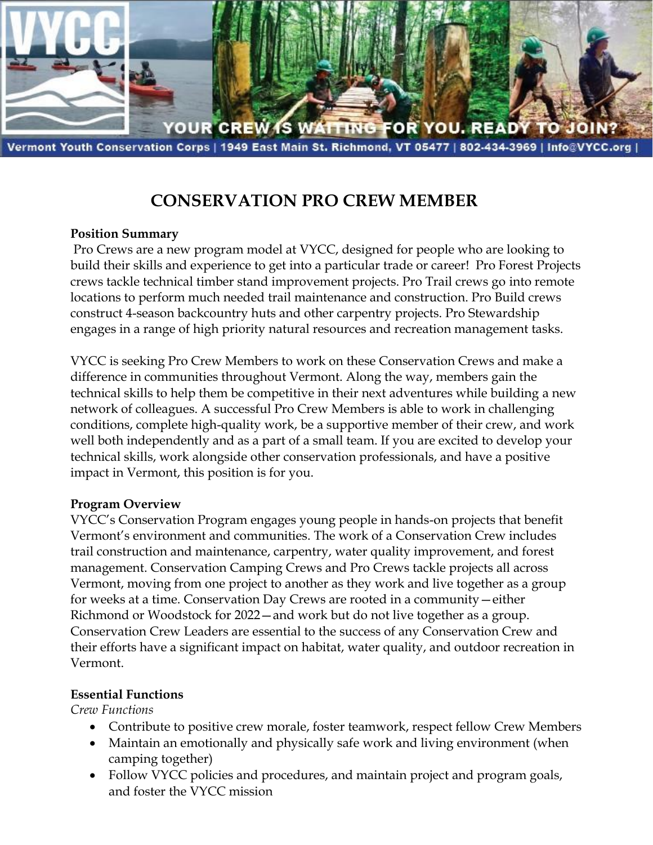

Vermont Youth Conservation Corps | 1949 East Main St. Richmond, VT 05477 | 802-434-3969 | Info@VYCC.org

# **CONSERVATION PRO CREW MEMBER**

#### **Position Summary**

Pro Crews are a new program model at VYCC, designed for people who are looking to build their skills and experience to get into a particular trade or career! Pro Forest Projects crews tackle technical timber stand improvement projects. Pro Trail crews go into remote locations to perform much needed trail maintenance and construction. Pro Build crews construct 4-season backcountry huts and other carpentry projects. Pro Stewardship engages in a range of high priority natural resources and recreation management tasks.

VYCC is seeking Pro Crew Members to work on these Conservation Crews and make a difference in communities throughout Vermont. Along the way, members gain the technical skills to help them be competitive in their next adventures while building a new network of colleagues. A successful Pro Crew Members is able to work in challenging conditions, complete high-quality work, be a supportive member of their crew, and work well both independently and as a part of a small team. If you are excited to develop your technical skills, work alongside other conservation professionals, and have a positive impact in Vermont, this position is for you.

#### **Program Overview**

VYCC's Conservation Program engages young people in hands-on projects that benefit Vermont's environment and communities. The work of a Conservation Crew includes trail construction and maintenance, carpentry, water quality improvement, and forest management. Conservation Camping Crews and Pro Crews tackle projects all across Vermont, moving from one project to another as they work and live together as a group for weeks at a time. Conservation Day Crews are rooted in a community—either Richmond or Woodstock for 2022—and work but do not live together as a group. Conservation Crew Leaders are essential to the success of any Conservation Crew and their efforts have a significant impact on habitat, water quality, and outdoor recreation in Vermont.

#### **Essential Functions**

*Crew Functions*

- Contribute to positive crew morale, foster teamwork, respect fellow Crew Members
- Maintain an emotionally and physically safe work and living environment (when camping together)
- Follow VYCC policies and procedures, and maintain project and program goals, and foster the VYCC mission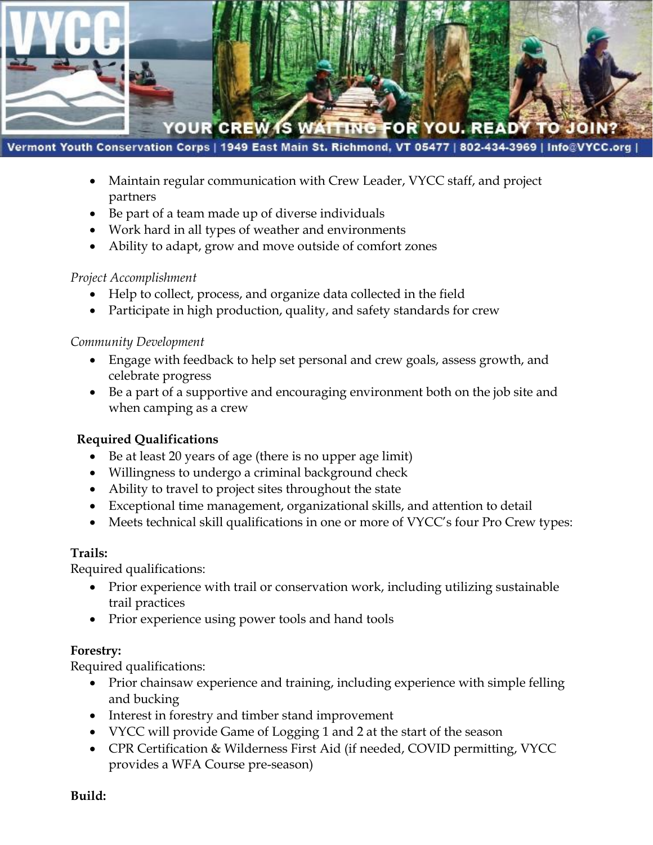

Vermont Youth Conservation Corps | 1949 East Main St. Richmond, VT 05477 | 802-434-3969 | Info@VYCC.org

- Maintain regular communication with Crew Leader, VYCC staff, and project partners
- Be part of a team made up of diverse individuals
- Work hard in all types of weather and environments
- Ability to adapt, grow and move outside of comfort zones

#### *Project Accomplishment*

- Help to collect, process, and organize data collected in the field
- Participate in high production, quality, and safety standards for crew

#### *Community Development*

- Engage with feedback to help set personal and crew goals, assess growth, and celebrate progress
- Be a part of a supportive and encouraging environment both on the job site and when camping as a crew

# **Required Qualifications**

- Be at least 20 years of age (there is no upper age limit)
- Willingness to undergo a criminal background check
- Ability to travel to project sites throughout the state
- Exceptional time management, organizational skills, and attention to detail
- Meets technical skill qualifications in one or more of VYCC's four Pro Crew types:

#### **Trails:**

Required qualifications:

- Prior experience with trail or conservation work, including utilizing sustainable trail practices
- Prior experience using power tools and hand tools

# **Forestry:**

Required qualifications:

- Prior chainsaw experience and training, including experience with simple felling and bucking
- Interest in forestry and timber stand improvement
- VYCC will provide Game of Logging 1 and 2 at the start of the season
- CPR Certification & Wilderness First Aid (if needed, COVID permitting, VYCC provides a WFA Course pre-season)

**Build:**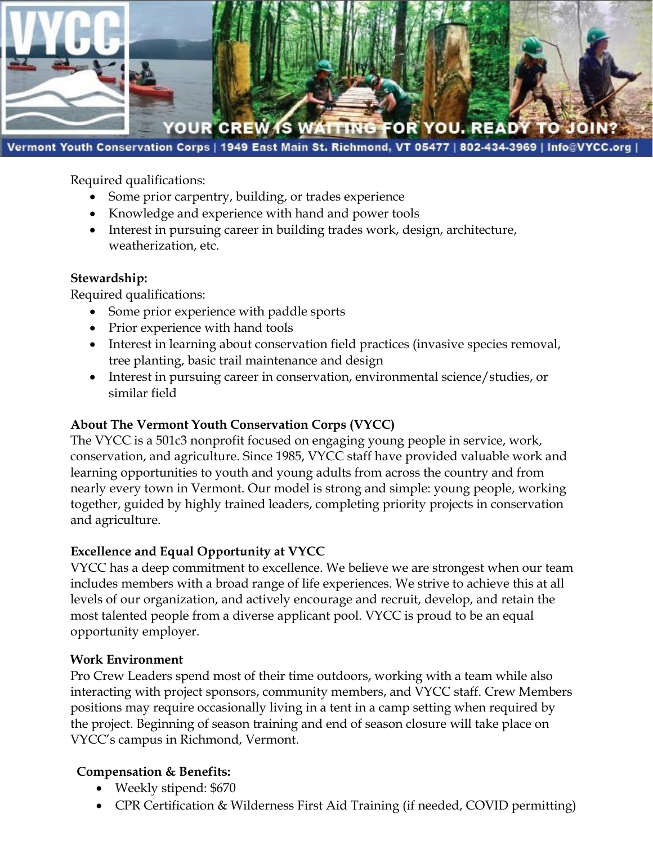

Vermont Youth Conservation Corps | 1949 East Main St. Richmond, VT 05477 | 802-434-3969 | Info@VYCC.org

Required qualifications:

- Some prior carpentry, building, or trades experience
- Knowledge and experience with hand and power tools
- Interest in pursuing career in building trades work, design, architecture, weatherization, etc.

#### **Stewardship:**

Required qualifications:

- Some prior experience with paddle sports
- Prior experience with hand tools
- Interest in learning about conservation field practices (invasive species removal, tree planting, basic trail maintenance and design
- Interest in pursuing career in conservation, environmental science/studies, or similar field

# **About The Vermont Youth Conservation Corps (VYCC)**

The VYCC is a 501c3 nonprofit focused on engaging young people in service, work, conservation, and agriculture. Since 1985, VYCC staff have provided valuable work and learning opportunities to youth and young adults from across the country and from nearly every town in Vermont. Our model is strong and simple: young people, working together, guided by highly trained leaders, completing priority projects in conservation and agriculture.

# **Excellence and Equal Opportunity at VYCC**

VYCC has a deep commitment to excellence. We believe we are strongest when our team includes members with a broad range of life experiences. We strive to achieve this at all levels of our organization, and actively encourage and recruit, develop, and retain the most talented people from a diverse applicant pool. VYCC is proud to be an equal opportunity employer.

# **Work Environment**

Pro Crew Leaders spend most of their time outdoors, working with a team while also interacting with project sponsors, community members, and VYCC staff. Crew Members positions may require occasionally living in a tent in a camp setting when required by the project. Beginning of season training and end of season closure will take place on VYCC's campus in Richmond, Vermont.

# **Compensation & Benefits:**

- Weekly stipend: \$670
- CPR Certification & Wilderness First Aid Training (if needed, COVID permitting)